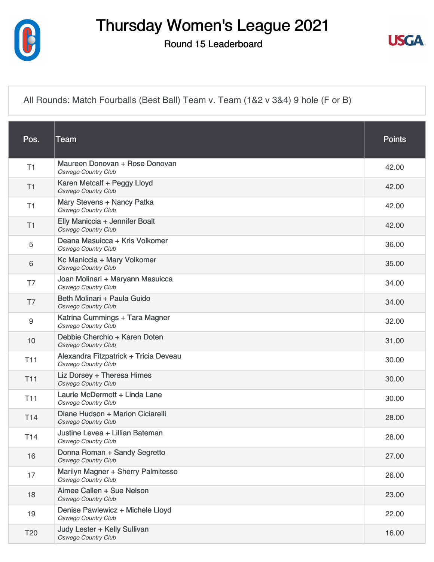

## Thursday Women's League 2021

Round 15 Leaderboard



[All Rounds: Match Fourballs \(Best Ball\) Team v. Team \(1&2 v 3&4\) 9 hole \(F or B\)](https://cdn2.golfgenius.com/v2tournaments/7432972359746741128?called_from=&round_index=15)

| Pos.            | <b>Team</b>                                                         | <b>Points</b> |
|-----------------|---------------------------------------------------------------------|---------------|
| T1              | Maureen Donovan + Rose Donovan<br><b>Oswego Country Club</b>        | 42.00         |
| T1              | Karen Metcalf + Peggy Lloyd<br><b>Oswego Country Club</b>           | 42.00         |
| T1              | Mary Stevens + Nancy Patka<br><b>Oswego Country Club</b>            | 42.00         |
| T1              | Elly Maniccia + Jennifer Boalt<br><b>Oswego Country Club</b>        | 42.00         |
| 5               | Deana Masuicca + Kris Volkomer<br><b>Oswego Country Club</b>        | 36.00         |
| 6               | Kc Maniccia + Mary Volkomer<br>Oswego Country Club                  | 35.00         |
| T7              | Joan Molinari + Maryann Masuicca<br><b>Oswego Country Club</b>      | 34.00         |
| T7              | Beth Molinari + Paula Guido<br><b>Oswego Country Club</b>           | 34.00         |
| 9               | Katrina Cummings + Tara Magner<br>Oswego Country Club               | 32.00         |
| 10              | Debbie Cherchio + Karen Doten<br><b>Oswego Country Club</b>         | 31.00         |
| T <sub>11</sub> | Alexandra Fitzpatrick + Tricia Deveau<br><b>Oswego Country Club</b> | 30.00         |
| <b>T11</b>      | Liz Dorsey + Theresa Himes<br><b>Oswego Country Club</b>            | 30.00         |
| <b>T11</b>      | Laurie McDermott + Linda Lane<br><b>Oswego Country Club</b>         | 30.00         |
| T <sub>14</sub> | Diane Hudson + Marion Ciciarelli<br><b>Oswego Country Club</b>      | 28.00         |
| T14             | Justine Levea + Lillian Bateman<br><b>Oswego Country Club</b>       | 28.00         |
| 16              | Donna Roman + Sandy Segretto<br><b>Oswego Country Club</b>          | 27.00         |
| 17              | Marilyn Magner + Sherry Palmitesso<br><b>Oswego Country Club</b>    | 26.00         |
| 18              | Aimee Callen + Sue Nelson<br><b>Oswego Country Club</b>             | 23.00         |
| 19              | Denise Pawlewicz + Michele Lloyd<br><b>Oswego Country Club</b>      | 22.00         |
| T <sub>20</sub> | Judy Lester + Kelly Sullivan<br><b>Oswego Country Club</b>          | 16.00         |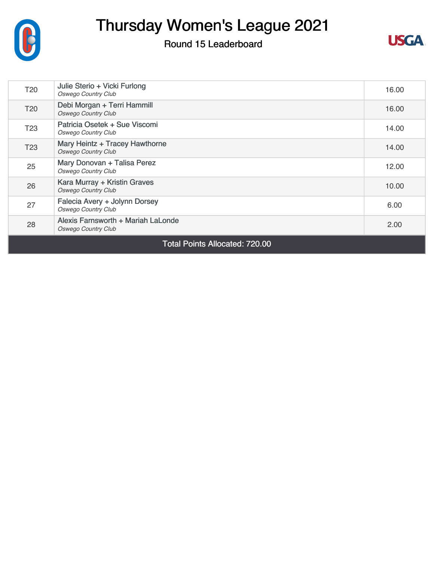

## Thursday Women's League 2021

## Round 15 Leaderboard



| <b>T20</b>                            | Julie Sterio + Vicki Furlong<br><b>Oswego Country Club</b>       | 16.00 |  |  |
|---------------------------------------|------------------------------------------------------------------|-------|--|--|
| T <sub>20</sub>                       | Debi Morgan + Terri Hammill<br><b>Oswego Country Club</b>        | 16.00 |  |  |
| T <sub>23</sub>                       | Patricia Osetek + Sue Viscomi<br><b>Oswego Country Club</b>      | 14.00 |  |  |
| T <sub>23</sub>                       | Mary Heintz + Tracey Hawthorne<br><b>Oswego Country Club</b>     | 14.00 |  |  |
| 25                                    | Mary Donovan + Talisa Perez<br><b>Oswego Country Club</b>        | 12.00 |  |  |
| 26                                    | Kara Murray + Kristin Graves<br><b>Oswego Country Club</b>       | 10.00 |  |  |
| 27                                    | Falecia Avery + Jolynn Dorsey<br><b>Oswego Country Club</b>      | 6.00  |  |  |
| 28                                    | Alexis Farnsworth + Mariah LaLonde<br><b>Oswego Country Club</b> | 2.00  |  |  |
| <b>Total Points Allocated: 720.00</b> |                                                                  |       |  |  |